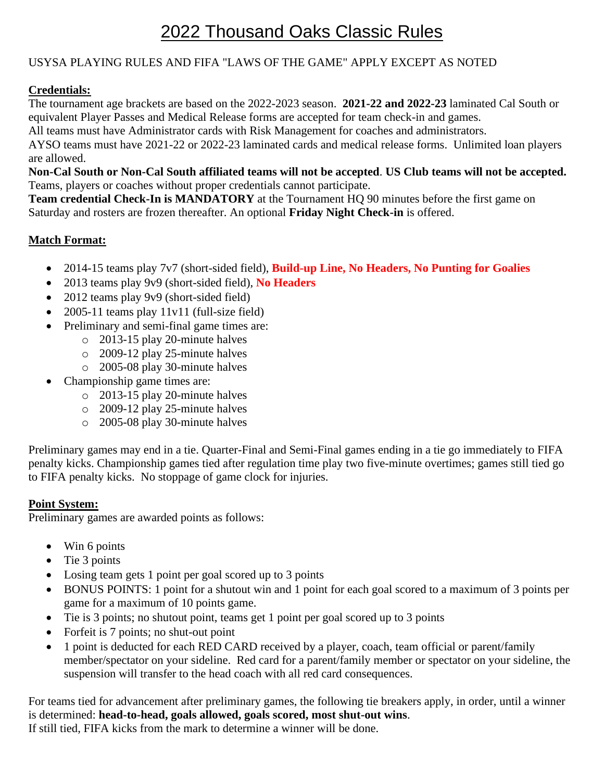# 2022 Thousand Oaks Classic Rules

## USYSA PLAYING RULES AND FIFA "LAWS OF THE GAME" APPLY EXCEPT AS NOTED

## **Credentials:**

The tournament age brackets are based on the 2022-2023 season. **2021-22 and 2022-23** laminated Cal South or equivalent Player Passes and Medical Release forms are accepted for team check-in and games.

All teams must have Administrator cards with Risk Management for coaches and administrators.

AYSO teams must have 2021-22 or 2022-23 laminated cards and medical release forms. Unlimited loan players are allowed.

**Non-Cal South or Non-Cal South affiliated teams will not be accepted**. **US Club teams will not be accepted.** Teams, players or coaches without proper credentials cannot participate.

**Team credential Check-In is MANDATORY** at the Tournament HQ 90 minutes before the first game on Saturday and rosters are frozen thereafter. An optional **Friday Night Check-in** is offered.

#### **Match Format:**

- 2014-15 teams play 7v7 (short-sided field), **Build-up Line, No Headers, No Punting for Goalies**
- 2013 teams play 9v9 (short-sided field), **No Headers**
- 2012 teams play 9v9 (short-sided field)
- 2005-11 teams play 11v11 (full-size field)
- Preliminary and semi-final game times are:
	- o 2013-15 play 20-minute halves
	- o 2009-12 play 25-minute halves
	- o 2005-08 play 30-minute halves
- Championship game times are:
	- o 2013-15 play 20-minute halves
	- o 2009-12 play 25-minute halves
	- o 2005-08 play 30-minute halves

Preliminary games may end in a tie. Quarter-Final and Semi-Final games ending in a tie go immediately to FIFA penalty kicks. Championship games tied after regulation time play two five-minute overtimes; games still tied go to FIFA penalty kicks. No stoppage of game clock for injuries.

#### **Point System:**

Preliminary games are awarded points as follows:

- Win 6 points
- Tie 3 points
- Losing team gets 1 point per goal scored up to 3 points
- BONUS POINTS: 1 point for a shutout win and 1 point for each goal scored to a maximum of 3 points per game for a maximum of 10 points game.
- Tie is 3 points; no shutout point, teams get 1 point per goal scored up to 3 points
- Forfeit is 7 points; no shut-out point
- 1 point is deducted for each RED CARD received by a player, coach, team official or parent/family member/spectator on your sideline. Red card for a parent/family member or spectator on your sideline, the suspension will transfer to the head coach with all red card consequences.

For teams tied for advancement after preliminary games, the following tie breakers apply, in order, until a winner is determined: **head-to-head, goals allowed, goals scored, most shut-out wins**.

If still tied, FIFA kicks from the mark to determine a winner will be done.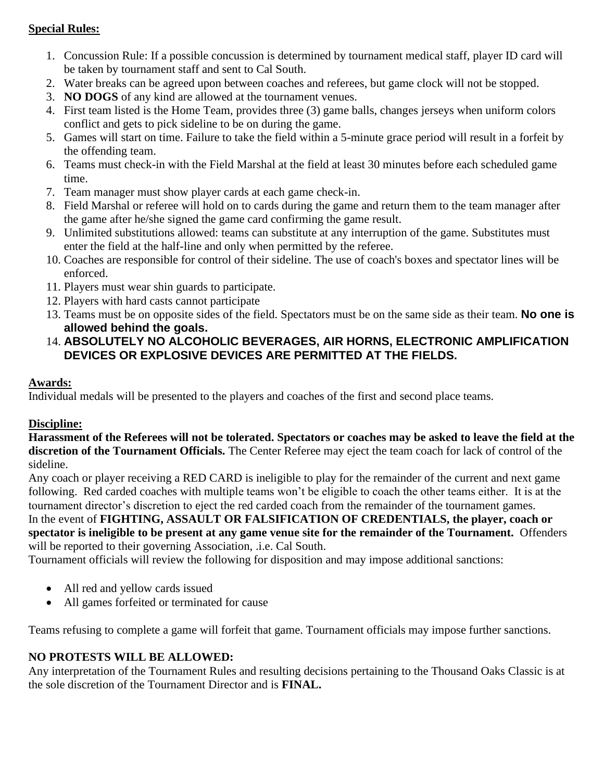### **Special Rules:**

- 1. Concussion Rule: If a possible concussion is determined by tournament medical staff, player ID card will be taken by tournament staff and sent to Cal South.
- 2. Water breaks can be agreed upon between coaches and referees, but game clock will not be stopped.
- 3. **NO DOGS** of any kind are allowed at the tournament venues.
- 4. First team listed is the Home Team, provides three (3) game balls, changes jerseys when uniform colors conflict and gets to pick sideline to be on during the game.
- 5. Games will start on time. Failure to take the field within a 5-minute grace period will result in a forfeit by the offending team.
- 6. Teams must check-in with the Field Marshal at the field at least 30 minutes before each scheduled game time.
- 7. Team manager must show player cards at each game check-in.
- 8. Field Marshal or referee will hold on to cards during the game and return them to the team manager after the game after he/she signed the game card confirming the game result.
- 9. Unlimited substitutions allowed: teams can substitute at any interruption of the game. Substitutes must enter the field at the half-line and only when permitted by the referee.
- 10. Coaches are responsible for control of their sideline. The use of coach's boxes and spectator lines will be enforced.
- 11. Players must wear shin guards to participate.
- 12. Players with hard casts cannot participate
- 13. Teams must be on opposite sides of the field. Spectators must be on the same side as their team. **No one is allowed behind the goals.**
- 14. **ABSOLUTELY NO ALCOHOLIC BEVERAGES, AIR HORNS, ELECTRONIC AMPLIFICATION DEVICES OR EXPLOSIVE DEVICES ARE PERMITTED AT THE FIELDS.**

## **Awards:**

Individual medals will be presented to the players and coaches of the first and second place teams.

## **Discipline:**

**Harassment of the Referees will not be tolerated. Spectators or coaches may be asked to leave the field at the discretion of the Tournament Officials.** The Center Referee may eject the team coach for lack of control of the sideline.

Any coach or player receiving a RED CARD is ineligible to play for the remainder of the current and next game following. Red carded coaches with multiple teams won't be eligible to coach the other teams either. It is at the tournament director's discretion to eject the red carded coach from the remainder of the tournament games. In the event of **FIGHTING, ASSAULT OR FALSIFICATION OF CREDENTIALS, the player, coach or** 

**spectator is ineligible to be present at any game venue site for the remainder of the Tournament.** Offenders will be reported to their governing Association, .*i.e.* Cal South.

Tournament officials will review the following for disposition and may impose additional sanctions:

- All red and yellow cards issued
- All games forfeited or terminated for cause

Teams refusing to complete a game will forfeit that game. Tournament officials may impose further sanctions.

## **NO PROTESTS WILL BE ALLOWED:**

Any interpretation of the Tournament Rules and resulting decisions pertaining to the Thousand Oaks Classic is at the sole discretion of the Tournament Director and is **FINAL.**